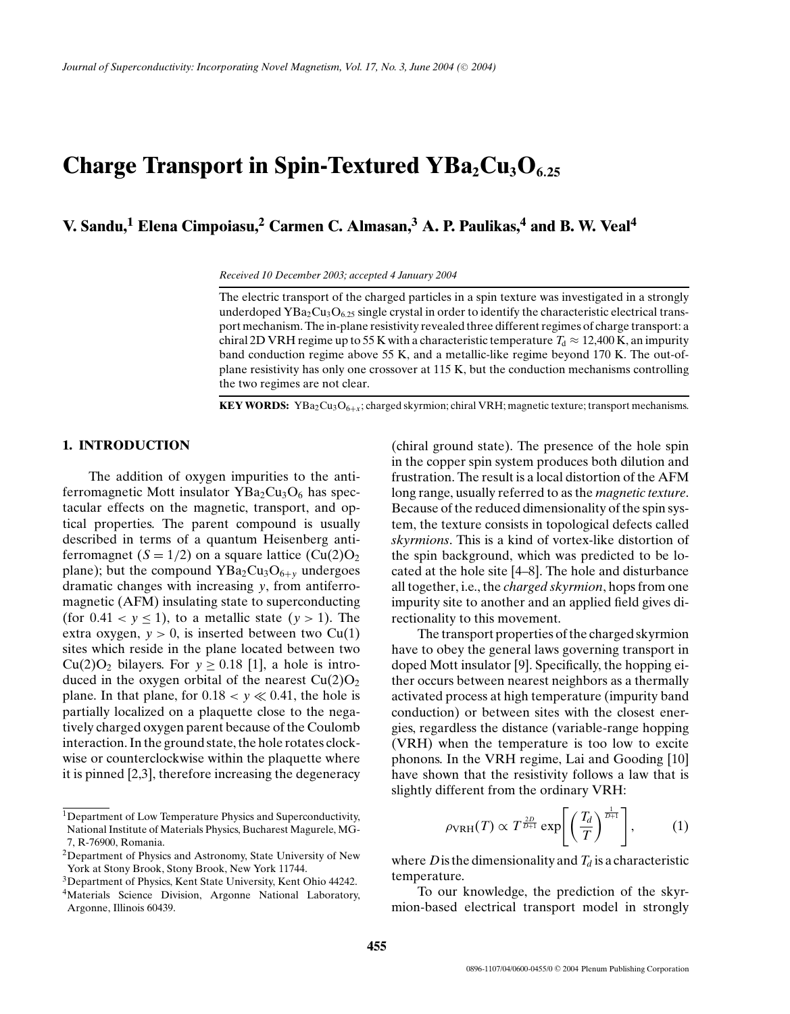# **Charge Transport in Spin-Textured YBa<sub>2</sub>Cu<sub>3</sub>O<sub>6.25</sub>**

**V. Sandu,1 Elena Cimpoiasu,2 Carmen C. Almasan,3 A. P. Paulikas,4 and B. W. Veal4**

*Received 10 December 2003; accepted 4 January 2004*

The electric transport of the charged particles in a spin texture was investigated in a strongly underdoped  $YBa_2Cu_3O_{6,25}$  single crystal in order to identify the characteristic electrical transport mechanism. The in-plane resistivity revealed three different regimes of charge transport: a chiral 2D VRH regime up to 55 K with a characteristic temperature  $T<sub>d</sub> \approx 12,400$  K, an impurity band conduction regime above 55 K, and a metallic-like regime beyond 170 K. The out-ofplane resistivity has only one crossover at 115 K, but the conduction mechanisms controlling the two regimes are not clear.

**KEY WORDS:** YBa<sub>2</sub>Cu<sub>3</sub>O<sub>6+x</sub>; charged skyrmion; chiral VRH; magnetic texture; transport mechanisms.

### **1. INTRODUCTION**

The addition of oxygen impurities to the antiferromagnetic Mott insulator  $YBa<sub>2</sub>Cu<sub>3</sub>O<sub>6</sub>$  has spectacular effects on the magnetic, transport, and optical properties. The parent compound is usually described in terms of a quantum Heisenberg antiferromagnet  $(S = 1/2)$  on a square lattice  $(Cu(2)O<sub>2</sub>)$ plane); but the compound  $YBa<sub>2</sub>Cu<sub>3</sub>O<sub>6+\nu</sub>$  undergoes dramatic changes with increasing *y*, from antiferromagnetic (AFM) insulating state to superconducting (for  $0.41 < y < 1$ ), to a metallic state  $(y > 1)$ . The extra oxygen,  $y > 0$ , is inserted between two Cu(1) sites which reside in the plane located between two Cu(2)O<sub>2</sub> bilayers. For  $y > 0.18$  [1], a hole is introduced in the oxygen orbital of the nearest  $Cu(2)O<sub>2</sub>$ plane. In that plane, for  $0.18 < y \ll 0.41$ , the hole is partially localized on a plaquette close to the negatively charged oxygen parent because of the Coulomb interaction. In the ground state, the hole rotates clockwise or counterclockwise within the plaquette where it is pinned [2,3], therefore increasing the degeneracy

(chiral ground state). The presence of the hole spin in the copper spin system produces both dilution and frustration. The result is a local distortion of the AFM long range, usually referred to as the *magnetic texture*. Because of the reduced dimensionality of the spin system, the texture consists in topological defects called *skyrmions*. This is a kind of vortex-like distortion of the spin background, which was predicted to be located at the hole site [4–8]. The hole and disturbance all together, i.e., the *charged skyrmion*, hops from one impurity site to another and an applied field gives directionality to this movement.

The transport properties of the charged skyrmion have to obey the general laws governing transport in doped Mott insulator [9]. Specifically, the hopping either occurs between nearest neighbors as a thermally activated process at high temperature (impurity band conduction) or between sites with the closest energies, regardless the distance (variable-range hopping (VRH) when the temperature is too low to excite phonons. In the VRH regime, Lai and Gooding [10] have shown that the resistivity follows a law that is slightly different from the ordinary VRH:

$$
\rho_{\text{VRH}}(T) \propto T^{\frac{2D}{D+1}} \exp\left[\left(\frac{T_d}{T}\right)^{\frac{1}{D+1}}\right],\tag{1}
$$

where *D* is the dimensionality and  $T_d$  is a characteristic temperature.

To our knowledge, the prediction of the skyrmion-based electrical transport model in strongly

<sup>&</sup>lt;sup>1</sup>Department of Low Temperature Physics and Superconductivity, National Institute of Materials Physics, Bucharest Magurele, MG-7, R-76900, Romania.

<sup>2</sup>Department of Physics and Astronomy, State University of New York at Stony Brook, Stony Brook, New York 11744.

<sup>3</sup>Department of Physics, Kent State University, Kent Ohio 44242.

<sup>&</sup>lt;sup>4</sup>Materials Science Division, Argonne National Laboratory, Argonne, Illinois 60439.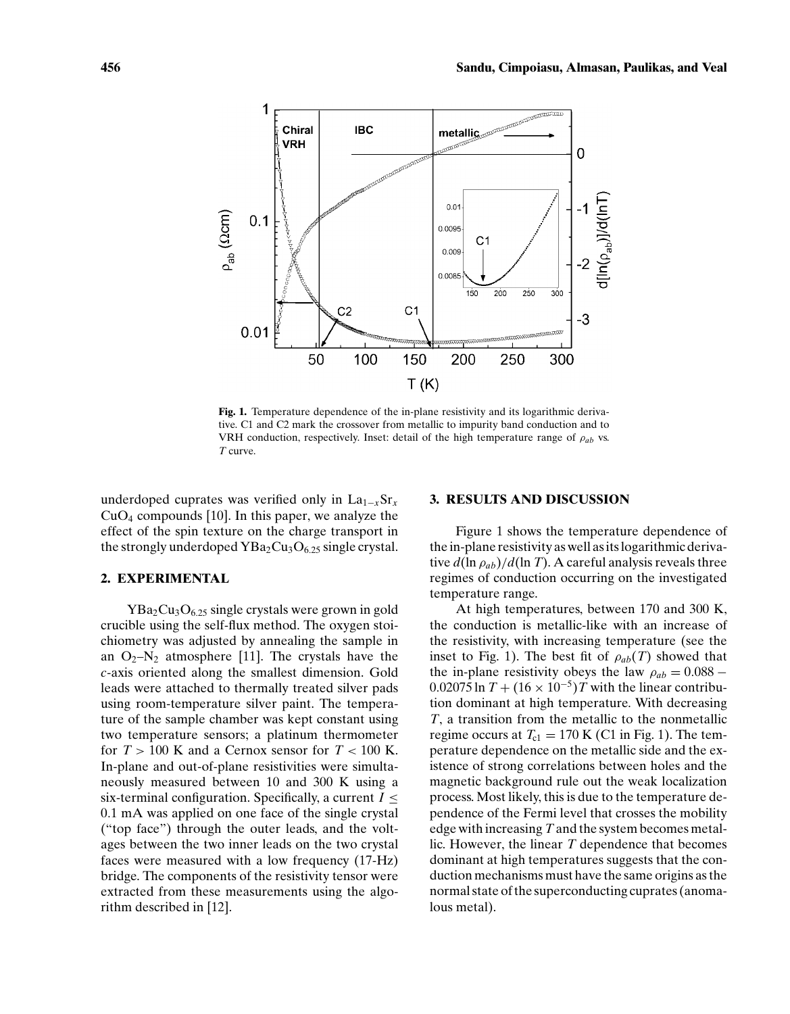

**Fig. 1.** Temperature dependence of the in-plane resistivity and its logarithmic derivative. C1 and C2 mark the crossover from metallic to impurity band conduction and to VRH conduction, respectively. Inset: detail of the high temperature range of  $\rho_{ab}$  vs. *T* curve.

underdoped cuprates was verified only in La<sub>1−*x*</sub>Sr<sub>*x*</sub>  $CuO<sub>4</sub>$  compounds [10]. In this paper, we analyze the effect of the spin texture on the charge transport in the strongly underdoped  $YBa<sub>2</sub>Cu<sub>3</sub>O<sub>6.25</sub>$  single crystal.

## **2. EXPERIMENTAL**

 $YBa<sub>2</sub>Cu<sub>3</sub>O<sub>6.25</sub>$  single crystals were grown in gold crucible using the self-flux method. The oxygen stoichiometry was adjusted by annealing the sample in an  $O_2-N_2$  atmosphere [11]. The crystals have the *c*-axis oriented along the smallest dimension. Gold leads were attached to thermally treated silver pads using room-temperature silver paint. The temperature of the sample chamber was kept constant using two temperature sensors; a platinum thermometer for  $T > 100$  K and a Cernox sensor for  $T < 100$  K. In-plane and out-of-plane resistivities were simultaneously measured between 10 and 300 K using a six-terminal configuration. Specifically, a current  $I \leq$ 0.1 mA was applied on one face of the single crystal ("top face") through the outer leads, and the voltages between the two inner leads on the two crystal faces were measured with a low frequency (17-Hz) bridge. The components of the resistivity tensor were extracted from these measurements using the algorithm described in [12].

#### **3. RESULTS AND DISCUSSION**

Figure 1 shows the temperature dependence of the in-plane resistivity as well as its logarithmic derivative  $d(\ln \rho_{ab})/d(\ln T)$ . A careful analysis reveals three regimes of conduction occurring on the investigated temperature range.

At high temperatures, between 170 and 300 K, the conduction is metallic-like with an increase of the resistivity, with increasing temperature (see the inset to Fig. 1). The best fit of  $\rho_{ab}(T)$  showed that the in-plane resistivity obeys the law  $\rho_{ab} = 0.088$  –  $0.02075 \ln T + (16 \times 10^{-5})T$  with the linear contribution dominant at high temperature. With decreasing *T*, a transition from the metallic to the nonmetallic regime occurs at  $T_{c1} = 170$  K (C1 in Fig. 1). The temperature dependence on the metallic side and the existence of strong correlations between holes and the magnetic background rule out the weak localization process. Most likely, this is due to the temperature dependence of the Fermi level that crosses the mobility edge with increasing *T* and the system becomes metallic. However, the linear *T* dependence that becomes dominant at high temperatures suggests that the conduction mechanisms must have the same origins as the normal state of the superconducting cuprates (anomalous metal).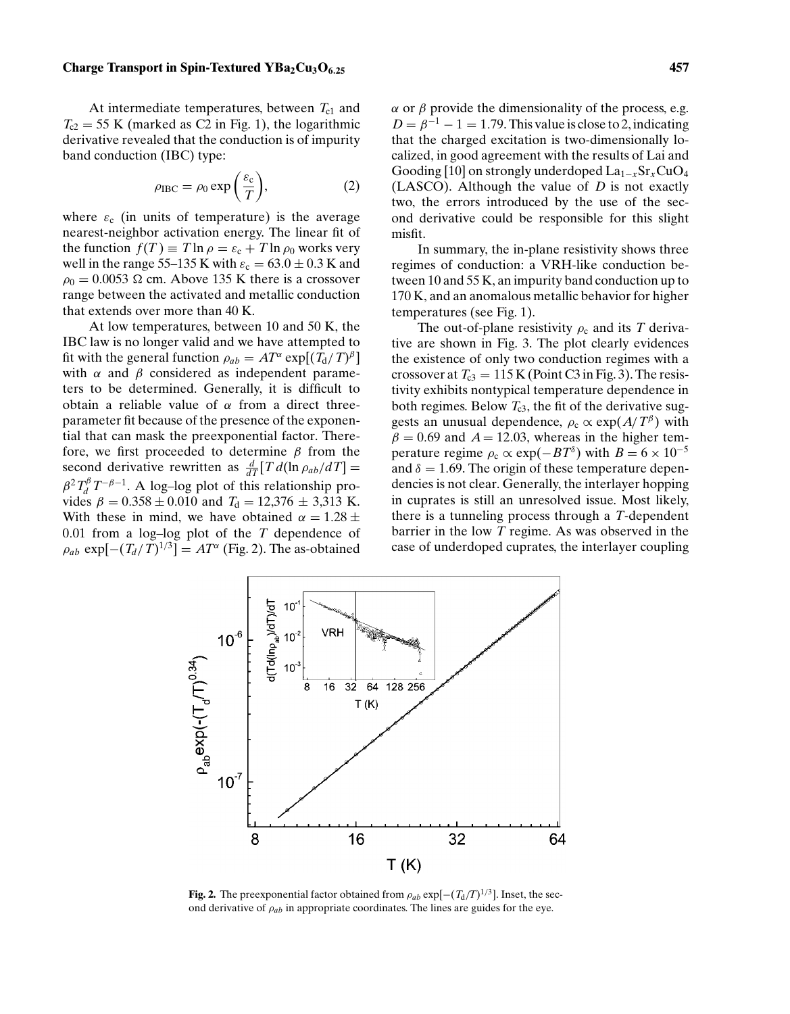#### **Charge Transport in Spin-Textured YBa<sub>2</sub>Cu<sub>3</sub>O<sub>6</sub><sub>25</sub> <b>157 157 157 157 157**

At intermediate temperatures, between  $T_{c1}$  and  $T_{c2} = 55$  K (marked as C2 in Fig. 1), the logarithmic derivative revealed that the conduction is of impurity band conduction (IBC) type:

$$
\rho_{\text{IBC}} = \rho_0 \exp\left(\frac{\varepsilon_c}{T}\right),\tag{2}
$$

where  $\varepsilon_c$  (in units of temperature) is the average nearest-neighbor activation energy. The linear fit of the function  $f(T) \equiv T \ln \rho = \varepsilon_c + T \ln \rho_0$  works very well in the range 55–135 K with  $\varepsilon_c = 63.0 \pm 0.3$  K and  $\rho_0 = 0.0053$  Ω cm. Above 135 K there is a crossover range between the activated and metallic conduction that extends over more than 40 K.

At low temperatures, between 10 and 50 K, the IBC law is no longer valid and we have attempted to fit with the general function  $\rho_{ab} = AT^{\alpha} \exp[(T_d/T)^{\beta}]$ with  $\alpha$  and  $\beta$  considered as independent parameters to be determined. Generally, it is difficult to obtain a reliable value of  $\alpha$  from a direct threeparameter fit because of the presence of the exponential that can mask the preexponential factor. Therefore, we first proceeded to determine  $\beta$  from the second derivative rewritten as  $\frac{d}{dT}[T d(\ln \rho_{ab}/dT)] =$  $\beta^2 T_d^{\beta} T^{-\beta-1}$ . A log-log plot of this relationship provides  $\beta = 0.358 \pm 0.010$  and  $T<sub>d</sub> = 12,376 \pm 3,313$  K. With these in mind, we have obtained  $\alpha = 1.28 \pm$ 0.01 from a log–log plot of the *T* dependence of  $\rho_{ab}$  exp $[-(T_d/T)^{1/3}] = AT^{\alpha}$  (Fig. 2). The as-obtained  $\alpha$  or  $\beta$  provide the dimensionality of the process, e.g.  $D = \beta^{-1} - 1 = 1.79$ . This value is close to 2, indicating that the charged excitation is two-dimensionally localized, in good agreement with the results of Lai and Gooding [10] on strongly underdoped La1−*<sup>x</sup>*Sr*x*CuO4 (LASCO). Although the value of *D* is not exactly two, the errors introduced by the use of the second derivative could be responsible for this slight misfit.

In summary, the in-plane resistivity shows three regimes of conduction: a VRH-like conduction between 10 and 55 K, an impurity band conduction up to 170 K, and an anomalous metallic behavior for higher temperatures (see Fig. 1).

The out-of-plane resistivity  $\rho_c$  and its *T* derivative are shown in Fig. 3. The plot clearly evidences the existence of only two conduction regimes with a crossover at  $T_{c3} = 115$  K (Point C3 in Fig. 3). The resistivity exhibits nontypical temperature dependence in both regimes. Below  $T_{c3}$ , the fit of the derivative suggests an unusual dependence,  $\rho_c \propto \exp(A/T^{\beta})$  with  $\beta = 0.69$  and  $A = 12.03$ , whereas in the higher temperature regime  $\rho_c \propto \exp(-BT^{\delta})$  with  $B = 6 \times 10^{-5}$ and  $\delta = 1.69$ . The origin of these temperature dependencies is not clear. Generally, the interlayer hopping in cuprates is still an unresolved issue. Most likely, there is a tunneling process through a *T*-dependent barrier in the low *T* regime. As was observed in the case of underdoped cuprates, the interlayer coupling



**Fig. 2.** The preexponential factor obtained from  $\rho_{ab}$  exp[ $-(T_d/T)^{1/3}$ ]. Inset, the second derivative of ρ*ab* in appropriate coordinates. The lines are guides for the eye.